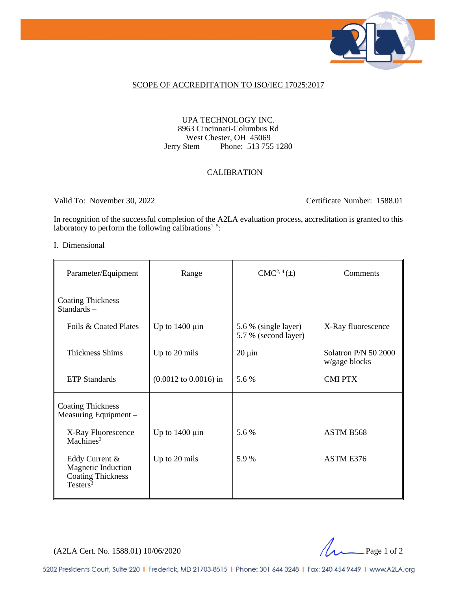

### SCOPE OF ACCREDITATION TO ISO/IEC 17025:2017

### UPA TECHNOLOGY INC. 8963 Cincinnati-Columbus Rd West Chester, OH 45069<br>Jerry Stem Phone: 513 755 Phone: 513 755 1280

### CALIBRATION

Valid To: November 30, 2022 Certificate Number: 1588.01

In recognition of the successful completion of the A2LA evaluation process, accreditation is granted to this laboratory to perform the following calibrations<sup>1, 5</sup>:

#### I. Dimensional

| Parameter/Equipment                                                             | Range                                    | $CMC2, 4(\pm)$                               | Comments                              |
|---------------------------------------------------------------------------------|------------------------------------------|----------------------------------------------|---------------------------------------|
| <b>Coating Thickness</b><br>Standards-                                          |                                          |                                              |                                       |
| Foils & Coated Plates                                                           | Up to $1400 \mu$ in                      | 5.6 % (single layer)<br>5.7 % (second layer) | X-Ray fluorescence                    |
| <b>Thickness Shims</b>                                                          | Up to 20 mils                            | $20 \mu$ in                                  | Solatron P/N 50 2000<br>w/gage blocks |
| <b>ETP</b> Standards                                                            | $(0.0012 \text{ to } 0.0016) \text{ in}$ | 5.6 %                                        | <b>CMI PTX</b>                        |
| <b>Coating Thickness</b><br>Measuring Equipment -                               |                                          |                                              |                                       |
| X-Ray Fluorescence<br>Machines <sup>3</sup>                                     | Up to $1400 \mu$ in                      | 5.6 %                                        | ASTM B568                             |
| Eddy Current &<br>Magnetic Induction<br><b>Coating Thickness</b><br>Testers $3$ | Up to 20 mils                            | 5.9%                                         | ASTM E376                             |

(A2LA Cert. No. 1588.01) 10/06/2020 Page 1 of 2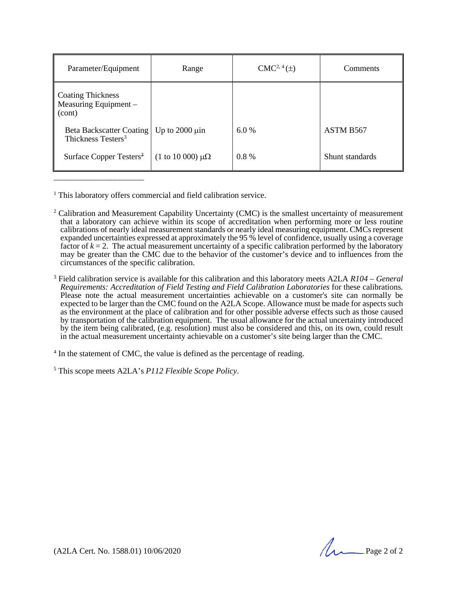| Parameter/Equipment                                           | Range                               | $CMC2, 4(\pm)$ | Comments        |
|---------------------------------------------------------------|-------------------------------------|----------------|-----------------|
| <b>Coating Thickness</b><br>Measuring Equipment $-$<br>(cont) |                                     |                |                 |
| Beta Backscatter Coating<br>Thickness Testers <sup>3</sup>    | Up to $2000 \mu$ in                 | 6.0%           | ASTM B567       |
| Surface Copper Testers <sup>3</sup>                           | $(1 \text{ to } 10\,000) \mu\Omega$ | $0.8\%$        | Shunt standards |

<sup>1</sup> This laboratory offers commercial and field calibration service.

\_\_\_\_\_\_\_\_\_\_\_\_\_\_\_\_\_\_\_\_\_\_

<sup>3</sup> Field calibration service is available for this calibration and this laboratory meets A2LA *R104 – General Requirements: Accreditation of Field Testing and Field Calibration Laboratories* for these calibrations. Please note the actual measurement uncertainties achievable on a customer's site can normally be expected to be larger than the CMC found on the A2LA Scope. Allowance must be made for aspects such as the environment at the place of calibration and for other possible adverse effects such as those caused by transportation of the calibration equipment. The usual allowance for the actual uncertainty introduced by the item being calibrated, (e.g. resolution) must also be considered and this, on its own, could result in the actual measurement uncertainty achievable on a customer's site being larger than the CMC.

<sup>4</sup> In the statement of CMC, the value is defined as the percentage of reading.

<sup>5</sup> This scope meets A2LA's *P112 Flexible Scope Policy*.

(A2LA Cert. No. 1588.01) 10/06/2020 Page 2 of 2

<sup>&</sup>lt;sup>2</sup> Calibration and Measurement Capability Uncertainty (CMC) is the smallest uncertainty of measurement that a laboratory can achieve within its scope of accreditation when performing more or less routine calibrations of nearly ideal measurement standards or nearly ideal measuring equipment. CMCs represent expanded uncertainties expressed at approximately the 95 % level of confidence, usually using a coverage factor of  $k = 2$ . The actual measurement uncertainty of a specific calibration performed by the laboratory may be greater than the CMC due to the behavior of the customer's device and to influences from the circumstances of the specific calibration.